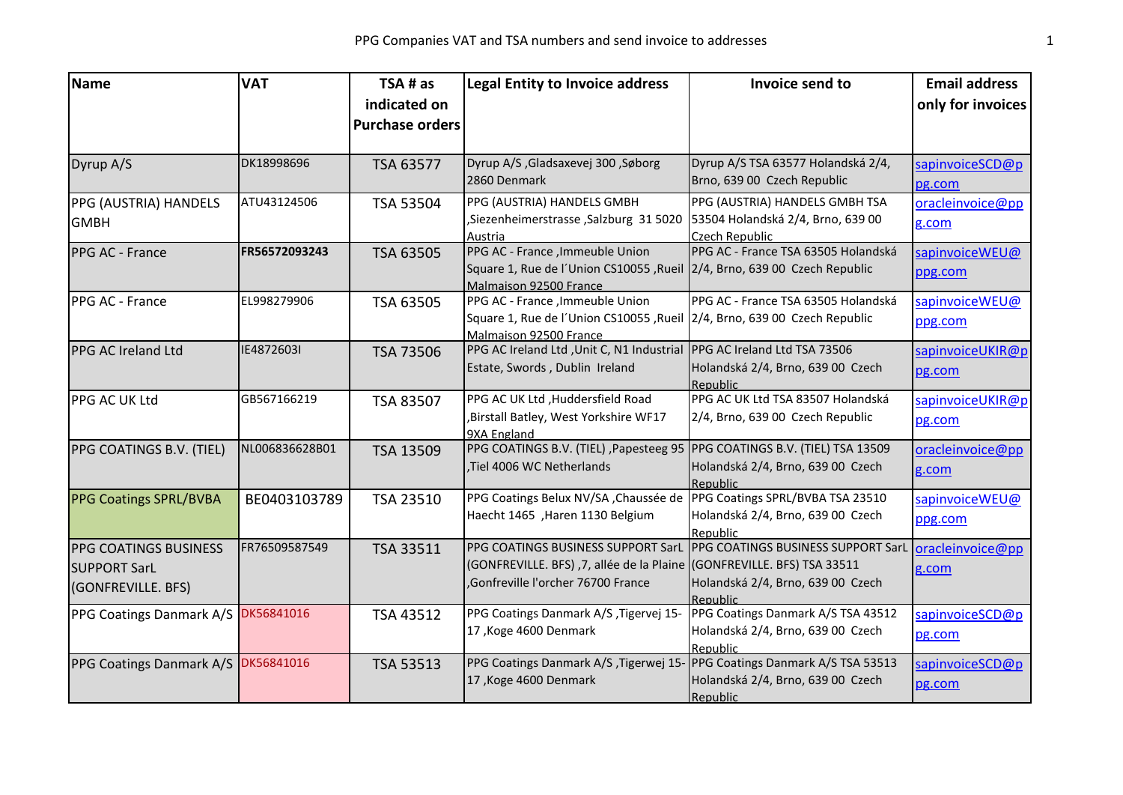| <b>Name</b>                         | <b>VAT</b>     | TSA # as               | <b>Legal Entity to Invoice address</b>                                                            | Invoice send to                               | <b>Email address</b> |
|-------------------------------------|----------------|------------------------|---------------------------------------------------------------------------------------------------|-----------------------------------------------|----------------------|
|                                     |                | indicated on           |                                                                                                   |                                               | only for invoices    |
|                                     |                | <b>Purchase orders</b> |                                                                                                   |                                               |                      |
|                                     |                |                        |                                                                                                   |                                               |                      |
| Dyrup A/S                           | DK18998696     | TSA 63577              | Dyrup A/S, Gladsaxevej 300, Søborg                                                                | Dyrup A/S TSA 63577 Holandská 2/4,            | sapinvoiceSCD@p      |
|                                     |                |                        | 2860 Denmark                                                                                      | Brno, 639 00 Czech Republic                   | pg.com               |
| PPG (AUSTRIA) HANDELS               | ATU43124506    | TSA 53504              | PPG (AUSTRIA) HANDELS GMBH                                                                        | PPG (AUSTRIA) HANDELS GMBH TSA                | oracleinvoice@pp     |
| <b>GMBH</b>                         |                |                        | ,Siezenheimerstrasse, Salzburg 31 5020                                                            | 53504 Holandská 2/4, Brno, 639 00             | g.com                |
|                                     |                |                        | Austria                                                                                           | Czech Republic                                |                      |
| PPG AC - France                     | FR56572093243  | TSA 63505              | PPG AC - France , Immeuble Union                                                                  | PPG AC - France TSA 63505 Holandská           | sapinvoiceWEU@       |
|                                     |                |                        | Square 1, Rue de l'Union CS10055, Rueil 2/4, Brno, 639 00 Czech Republic                          |                                               | ppg.com              |
|                                     |                |                        | Malmaison 92500 France                                                                            |                                               |                      |
| PPG AC - France                     | EL998279906    | TSA 63505              | PPG AC - France , Immeuble Union                                                                  | PPG AC - France TSA 63505 Holandská           | sapinvoiceWEU@       |
|                                     |                |                        | Square 1, Rue de l'Union CS10055, Rueil 2/4, Brno, 639 00 Czech Republic                          |                                               | ppg.com              |
|                                     |                |                        | Malmaison 92500 France<br>PPG AC Ireland Ltd , Unit C, N1 Industrial PPG AC Ireland Ltd TSA 73506 |                                               |                      |
| PPG AC Ireland Ltd                  | IE4872603I     | TSA 73506              |                                                                                                   |                                               | sapinvoiceUKIR@p     |
|                                     |                |                        | Estate, Swords, Dublin Ireland                                                                    | Holandská 2/4, Brno, 639 00 Czech             | pg.com               |
| PPG AC UK Ltd                       | GB567166219    | TSA 83507              | PPG AC UK Ltd , Huddersfield Road                                                                 | Republic<br>PPG AC UK Ltd TSA 83507 Holandská | sapinvoiceUKIR@p     |
|                                     |                |                        | Birstall Batley, West Yorkshire WF17,                                                             | 2/4, Brno, 639 00 Czech Republic              |                      |
|                                     |                |                        | 9XA England                                                                                       |                                               | pg.com               |
| PPG COATINGS B.V. (TIEL)            | NL006836628B01 | TSA 13509              | PPG COATINGS B.V. (TIEL) , Papesteeg 95                                                           | PPG COATINGS B.V. (TIEL) TSA 13509            | oracleinvoice@pp     |
|                                     |                |                        | Tiel 4006 WC Netherlands                                                                          | Holandská 2/4, Brno, 639 00 Czech             | g.com                |
|                                     |                |                        |                                                                                                   | Republic                                      |                      |
| <b>PPG Coatings SPRL/BVBA</b>       | BE0403103789   | TSA 23510              | PPG Coatings Belux NV/SA, Chaussée de                                                             | PPG Coatings SPRL/BVBA TSA 23510              | sapinvoice WEU@      |
|                                     |                |                        | Haecht 1465 , Haren 1130 Belgium                                                                  | Holandská 2/4, Brno, 639 00 Czech             | ppg.com              |
|                                     |                |                        |                                                                                                   | Republic                                      |                      |
| <b>PPG COATINGS BUSINESS</b>        | FR76509587549  | TSA 33511              | PPG COATINGS BUSINESS SUPPORT SarL                                                                | PPG COATINGS BUSINESS SUPPORT SarL            | oracleinvoice@pp     |
| <b>SUPPORT SarL</b>                 |                |                        | (GONFREVILLE. BFS), 7, allée de la Plaine (GONFREVILLE. BFS) TSA 33511                            |                                               | g.com                |
| (GONFREVILLE. BFS)                  |                |                        | Gonfreville l'orcher 76700 France                                                                 | Holandská 2/4, Brno, 639 00 Czech             |                      |
|                                     |                |                        |                                                                                                   | Republic                                      |                      |
| PPG Coatings Danmark A/S            | DK56841016     | TSA 43512              | PPG Coatings Danmark A/S, Tigervej 15-                                                            | PPG Coatings Danmark A/S TSA 43512            | sapinvoiceSCD@p      |
|                                     |                |                        | 17, Koge 4600 Denmark                                                                             | Holandská 2/4, Brno, 639 00 Czech             | pg.com               |
|                                     |                |                        |                                                                                                   | Republic                                      |                      |
| PPG Coatings Danmark A/S DK56841016 |                | TSA 53513              | PPG Coatings Danmark A/S, Tigerwej 15- PPG Coatings Danmark A/S TSA 53513                         |                                               | sapinvoiceSCD@p      |
|                                     |                |                        | 17, Koge 4600 Denmark                                                                             | Holandská 2/4, Brno, 639 00 Czech             | pg.com               |
|                                     |                |                        |                                                                                                   | Republic                                      |                      |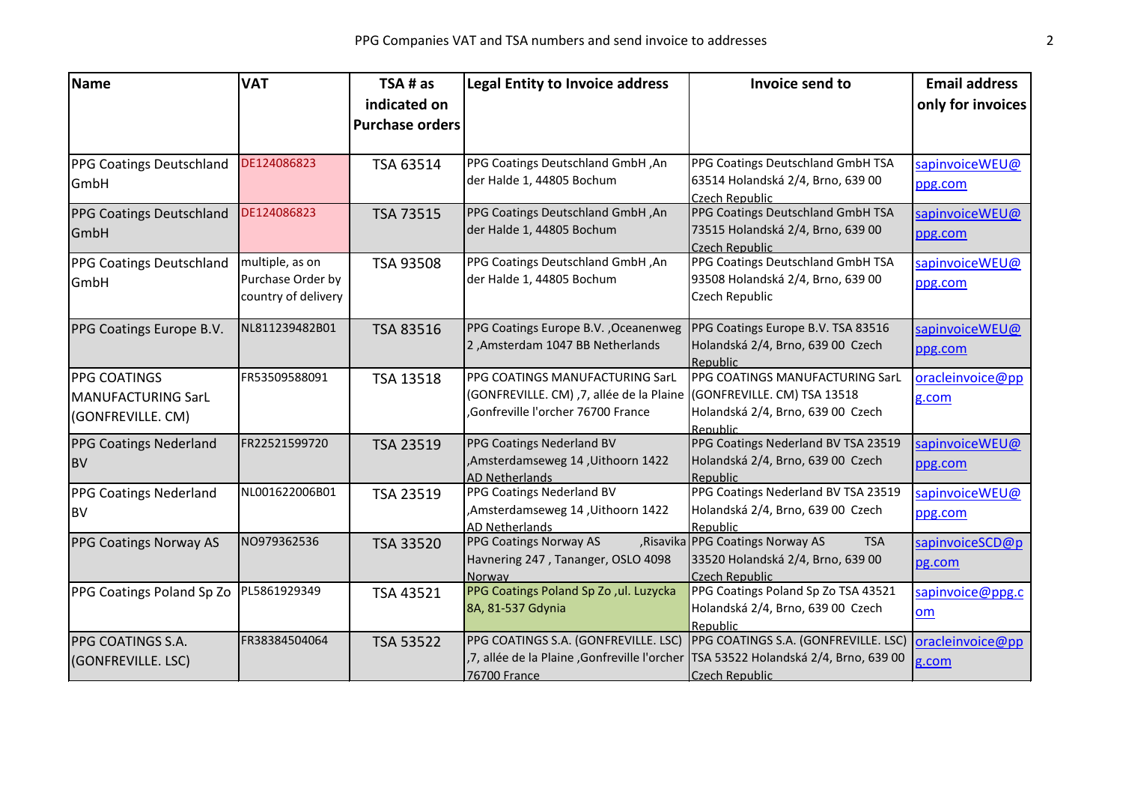| <b>Name</b>                     | <b>VAT</b>          | TSA # as               | <b>Legal Entity to Invoice address</b>             | Invoice send to                                              | <b>Email address</b> |
|---------------------------------|---------------------|------------------------|----------------------------------------------------|--------------------------------------------------------------|----------------------|
|                                 |                     | indicated on           |                                                    |                                                              | only for invoices    |
|                                 |                     | <b>Purchase orders</b> |                                                    |                                                              |                      |
|                                 |                     |                        |                                                    |                                                              |                      |
| PPG Coatings Deutschland        | DE124086823         | TSA 63514              | PPG Coatings Deutschland GmbH, An                  | PPG Coatings Deutschland GmbH TSA                            | sapinvoiceWEU@       |
| GmbH                            |                     |                        | der Halde 1, 44805 Bochum                          | 63514 Holandská 2/4, Brno, 639 00<br>Czech Republic          | ppg.com              |
| <b>PPG Coatings Deutschland</b> | DE124086823         | TSA 73515              | PPG Coatings Deutschland GmbH, An                  | PPG Coatings Deutschland GmbH TSA                            | sapinvoiceWEU@       |
| GmbH                            |                     |                        | der Halde 1, 44805 Bochum                          | 73515 Holandská 2/4, Brno, 639 00<br>Czech Republic          | ppg.com              |
| <b>PPG Coatings Deutschland</b> | multiple, as on     | TSA 93508              | PPG Coatings Deutschland GmbH, An                  | PPG Coatings Deutschland GmbH TSA                            | sapinvoiceWEU@       |
| GmbH                            | Purchase Order by   |                        | der Halde 1, 44805 Bochum                          | 93508 Holandská 2/4, Brno, 639 00                            | ppg.com              |
|                                 | country of delivery |                        |                                                    | Czech Republic                                               |                      |
| PPG Coatings Europe B.V.        | NL811239482B01      | TSA 83516              | PPG Coatings Europe B.V., Oceanenweg               | PPG Coatings Europe B.V. TSA 83516                           | sapinvoiceWEU@       |
|                                 |                     |                        | 2, Amsterdam 1047 BB Netherlands                   | Holandská 2/4, Brno, 639 00 Czech                            | ppg.com              |
|                                 |                     |                        | PPG COATINGS MANUFACTURING SarL                    | Republic<br>PPG COATINGS MANUFACTURING SarL                  |                      |
| PPG COATINGS                    | FR53509588091       | TSA 13518              | (GONFREVILLE. CM) ,7, allée de la Plaine           | (GONFREVILLE. CM) TSA 13518                                  | oracleinvoice@pp     |
| <b>MANUFACTURING SarL</b>       |                     |                        | Gonfreville l'orcher 76700 France                  | Holandská 2/4, Brno, 639 00 Czech                            | g.com                |
| (GONFREVILLE. CM)               |                     |                        |                                                    | Republic                                                     |                      |
| <b>PPG Coatings Nederland</b>   | FR22521599720       | <b>TSA 23519</b>       | PPG Coatings Nederland BV                          | PPG Coatings Nederland BV TSA 23519                          | sapinvoiceWEU@       |
| <b>BV</b>                       |                     |                        | ,Amsterdamseweg 14, Uithoorn 1422                  | Holandská 2/4, Brno, 639 00 Czech                            | ppg.com              |
| <b>PPG Coatings Nederland</b>   | NL001622006B01      | TSA 23519              | <b>AD Netherlands</b><br>PPG Coatings Nederland BV | Republic<br>PPG Coatings Nederland BV TSA 23519              | sapinvoiceWEU@       |
| <b>BV</b>                       |                     |                        | ,Amsterdamseweg 14, Uithoorn 1422                  | Holandská 2/4, Brno, 639 00 Czech                            | ppg.com              |
|                                 |                     |                        | AD Netherlands                                     | Republic                                                     |                      |
| <b>PPG Coatings Norway AS</b>   | NO979362536         | TSA 33520              | PPG Coatings Norway AS                             | , Risavika PPG Coatings Norway AS<br><b>TSA</b>              | sapinvoiceSCD@p      |
|                                 |                     |                        | Havnering 247, Tananger, OSLO 4098                 | 33520 Holandská 2/4, Brno, 639 00                            | pg.com               |
| PPG Coatings Poland Sp Zo       | PL5861929349        |                        | Norway<br>PPG Coatings Poland Sp Zo, ul. Luzycka   | <b>Czech Republic</b><br>PPG Coatings Poland Sp Zo TSA 43521 |                      |
|                                 |                     | TSA 43521              | 8A, 81-537 Gdynia                                  | Holandská 2/4, Brno, 639 00 Czech                            | sapinvoice@ppg.c     |
|                                 |                     |                        |                                                    | Republic                                                     | om                   |
| PPG COATINGS S.A.               | FR38384504064       | TSA 53522              | PPG COATINGS S.A. (GONFREVILLE. LSC)               | PPG COATINGS S.A. (GONFREVILLE. LSC)                         | oracleinvoice@pp     |
| (GONFREVILLE. LSC)              |                     |                        | ,7, allée de la Plaine , Gonfreville l'orcher      | TSA 53522 Holandská 2/4, Brno, 639 00                        | g.com                |
|                                 |                     |                        | 76700 France                                       | <b>Czech Republic</b>                                        |                      |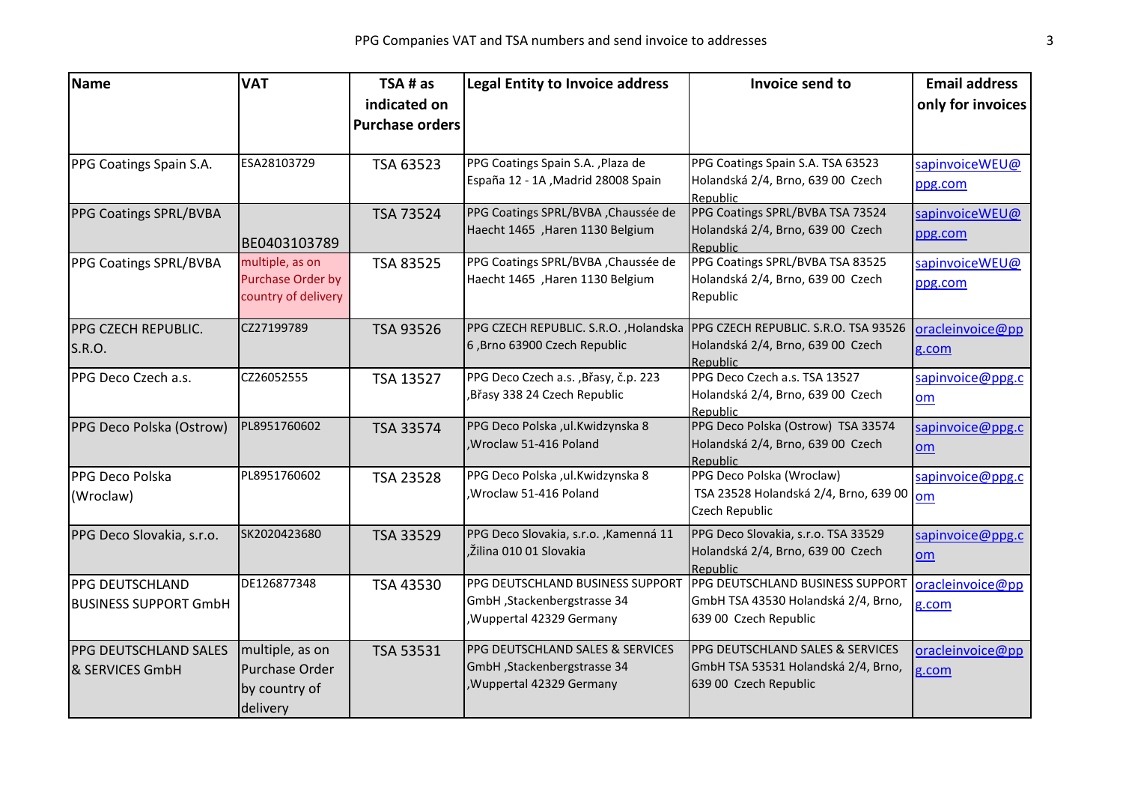| indicated on<br><b>Purchase orders</b><br>ESA28103729<br>PPG Coatings Spain S.A., Plaza de<br>PPG Coatings Spain S.A. TSA 63523<br>TSA 63523<br>PPG Coatings Spain S.A.<br>Holandská 2/4, Brno, 639 00 Czech<br>España 12 - 1A , Madrid 28008 Spain<br>ppg.com<br>Republic<br>PPG Coatings SPRL/BVBA, Chaussée de<br>PPG Coatings SPRL/BVBA TSA 73524<br>PPG Coatings SPRL/BVBA<br>TSA 73524<br>Haecht 1465 , Haren 1130 Belgium<br>Holandská 2/4, Brno, 639 00 Czech<br>ppg.com<br>BE0403103789<br>Republic<br>PPG Coatings SPRL/BVBA TSA 83525<br>PPG Coatings SPRL/BVBA, Chaussée de<br>multiple, as on<br>PPG Coatings SPRL/BVBA<br>TSA 83525<br>Purchase Order by<br>Haecht 1465 , Haren 1130 Belgium<br>Holandská 2/4, Brno, 639 00 Czech<br>ppg.com<br>country of delivery<br>Republic<br>CZ27199789<br>PPG CZECH REPUBLIC. S.R.O., Holandska<br>PPG CZECH REPUBLIC. S.R.O. TSA 93526<br>PPG CZECH REPUBLIC.<br>TSA 93526<br>6, Brno 63900 Czech Republic<br>Holandská 2/4, Brno, 639 00 Czech<br>S.R.O.<br>g.com<br>Republic<br>PPG Deco Czech a.s. TSA 13527<br>PPG Deco Czech a.s. , Břasy, č.p. 223<br>CZ26052555<br>PPG Deco Czech a.s.<br>TSA 13527<br>sapinvoice@ppg.c<br>Břasy 338 24 Czech Republic<br>Holandská 2/4, Brno, 639 00 Czech<br>om<br>Republic<br>PPG Deco Polska (Ostrow) TSA 33574<br>PPG Deco Polska , ul. Kwidzynska 8<br>PL8951760602<br>PPG Deco Polska (Ostrow)<br>TSA 33574<br>, Wroclaw 51-416 Poland<br>Holandská 2/4, Brno, 639 00 Czech<br>om<br>Republic<br>PPG Deco Polska (Wroclaw)<br>PL8951760602<br>PPG Deco Polska ,ul.Kwidzynska 8<br>PPG Deco Polska<br>TSA 23528<br>, Wroclaw 51-416 Poland<br>TSA 23528 Holandská 2/4, Brno, 639 00<br>(Wroclaw)<br><b>om</b><br>Czech Republic<br>SK2020423680<br>PPG Deco Slovakia, s.r.o., Kamenná 11<br>PPG Deco Slovakia, s.r.o. TSA 33529<br>PPG Deco Slovakia, s.r.o.<br>TSA 33529<br>, Žilina 010 01 Slovakia<br>Holandská 2/4, Brno, 639 00 Czech<br>om<br>Republic<br>PPG DEUTSCHLAND BUSINESS SUPPORT<br>DE126877348<br>PPG DEUTSCHLAND BUSINESS SUPPORT | <b>Name</b>     | <b>VAT</b> | TSA # as  | <b>Legal Entity to Invoice address</b> | Invoice send to | <b>Email address</b> |
|--------------------------------------------------------------------------------------------------------------------------------------------------------------------------------------------------------------------------------------------------------------------------------------------------------------------------------------------------------------------------------------------------------------------------------------------------------------------------------------------------------------------------------------------------------------------------------------------------------------------------------------------------------------------------------------------------------------------------------------------------------------------------------------------------------------------------------------------------------------------------------------------------------------------------------------------------------------------------------------------------------------------------------------------------------------------------------------------------------------------------------------------------------------------------------------------------------------------------------------------------------------------------------------------------------------------------------------------------------------------------------------------------------------------------------------------------------------------------------------------------------------------------------------------------------------------------------------------------------------------------------------------------------------------------------------------------------------------------------------------------------------------------------------------------------------------------------------------------------------------------------------------------------------------------------------------------------------------------------------------------------------------------------------------------------|-----------------|------------|-----------|----------------------------------------|-----------------|----------------------|
|                                                                                                                                                                                                                                                                                                                                                                                                                                                                                                                                                                                                                                                                                                                                                                                                                                                                                                                                                                                                                                                                                                                                                                                                                                                                                                                                                                                                                                                                                                                                                                                                                                                                                                                                                                                                                                                                                                                                                                                                                                                        |                 |            |           |                                        |                 | only for invoices    |
|                                                                                                                                                                                                                                                                                                                                                                                                                                                                                                                                                                                                                                                                                                                                                                                                                                                                                                                                                                                                                                                                                                                                                                                                                                                                                                                                                                                                                                                                                                                                                                                                                                                                                                                                                                                                                                                                                                                                                                                                                                                        |                 |            |           |                                        |                 |                      |
|                                                                                                                                                                                                                                                                                                                                                                                                                                                                                                                                                                                                                                                                                                                                                                                                                                                                                                                                                                                                                                                                                                                                                                                                                                                                                                                                                                                                                                                                                                                                                                                                                                                                                                                                                                                                                                                                                                                                                                                                                                                        |                 |            |           |                                        |                 |                      |
|                                                                                                                                                                                                                                                                                                                                                                                                                                                                                                                                                                                                                                                                                                                                                                                                                                                                                                                                                                                                                                                                                                                                                                                                                                                                                                                                                                                                                                                                                                                                                                                                                                                                                                                                                                                                                                                                                                                                                                                                                                                        |                 |            |           |                                        |                 | sapinvoiceWEU@       |
|                                                                                                                                                                                                                                                                                                                                                                                                                                                                                                                                                                                                                                                                                                                                                                                                                                                                                                                                                                                                                                                                                                                                                                                                                                                                                                                                                                                                                                                                                                                                                                                                                                                                                                                                                                                                                                                                                                                                                                                                                                                        |                 |            |           |                                        |                 |                      |
|                                                                                                                                                                                                                                                                                                                                                                                                                                                                                                                                                                                                                                                                                                                                                                                                                                                                                                                                                                                                                                                                                                                                                                                                                                                                                                                                                                                                                                                                                                                                                                                                                                                                                                                                                                                                                                                                                                                                                                                                                                                        |                 |            |           |                                        |                 | sapinvoiceWEU@       |
|                                                                                                                                                                                                                                                                                                                                                                                                                                                                                                                                                                                                                                                                                                                                                                                                                                                                                                                                                                                                                                                                                                                                                                                                                                                                                                                                                                                                                                                                                                                                                                                                                                                                                                                                                                                                                                                                                                                                                                                                                                                        |                 |            |           |                                        |                 |                      |
|                                                                                                                                                                                                                                                                                                                                                                                                                                                                                                                                                                                                                                                                                                                                                                                                                                                                                                                                                                                                                                                                                                                                                                                                                                                                                                                                                                                                                                                                                                                                                                                                                                                                                                                                                                                                                                                                                                                                                                                                                                                        |                 |            |           |                                        |                 | sapinvoiceWEU@       |
|                                                                                                                                                                                                                                                                                                                                                                                                                                                                                                                                                                                                                                                                                                                                                                                                                                                                                                                                                                                                                                                                                                                                                                                                                                                                                                                                                                                                                                                                                                                                                                                                                                                                                                                                                                                                                                                                                                                                                                                                                                                        |                 |            |           |                                        |                 |                      |
|                                                                                                                                                                                                                                                                                                                                                                                                                                                                                                                                                                                                                                                                                                                                                                                                                                                                                                                                                                                                                                                                                                                                                                                                                                                                                                                                                                                                                                                                                                                                                                                                                                                                                                                                                                                                                                                                                                                                                                                                                                                        |                 |            |           |                                        |                 |                      |
|                                                                                                                                                                                                                                                                                                                                                                                                                                                                                                                                                                                                                                                                                                                                                                                                                                                                                                                                                                                                                                                                                                                                                                                                                                                                                                                                                                                                                                                                                                                                                                                                                                                                                                                                                                                                                                                                                                                                                                                                                                                        |                 |            |           |                                        |                 | oracleinvoice@pp     |
|                                                                                                                                                                                                                                                                                                                                                                                                                                                                                                                                                                                                                                                                                                                                                                                                                                                                                                                                                                                                                                                                                                                                                                                                                                                                                                                                                                                                                                                                                                                                                                                                                                                                                                                                                                                                                                                                                                                                                                                                                                                        |                 |            |           |                                        |                 |                      |
|                                                                                                                                                                                                                                                                                                                                                                                                                                                                                                                                                                                                                                                                                                                                                                                                                                                                                                                                                                                                                                                                                                                                                                                                                                                                                                                                                                                                                                                                                                                                                                                                                                                                                                                                                                                                                                                                                                                                                                                                                                                        |                 |            |           |                                        |                 |                      |
|                                                                                                                                                                                                                                                                                                                                                                                                                                                                                                                                                                                                                                                                                                                                                                                                                                                                                                                                                                                                                                                                                                                                                                                                                                                                                                                                                                                                                                                                                                                                                                                                                                                                                                                                                                                                                                                                                                                                                                                                                                                        |                 |            |           |                                        |                 |                      |
|                                                                                                                                                                                                                                                                                                                                                                                                                                                                                                                                                                                                                                                                                                                                                                                                                                                                                                                                                                                                                                                                                                                                                                                                                                                                                                                                                                                                                                                                                                                                                                                                                                                                                                                                                                                                                                                                                                                                                                                                                                                        |                 |            |           |                                        |                 |                      |
|                                                                                                                                                                                                                                                                                                                                                                                                                                                                                                                                                                                                                                                                                                                                                                                                                                                                                                                                                                                                                                                                                                                                                                                                                                                                                                                                                                                                                                                                                                                                                                                                                                                                                                                                                                                                                                                                                                                                                                                                                                                        |                 |            |           |                                        |                 | sapinvoice@ppg.c     |
|                                                                                                                                                                                                                                                                                                                                                                                                                                                                                                                                                                                                                                                                                                                                                                                                                                                                                                                                                                                                                                                                                                                                                                                                                                                                                                                                                                                                                                                                                                                                                                                                                                                                                                                                                                                                                                                                                                                                                                                                                                                        |                 |            |           |                                        |                 |                      |
|                                                                                                                                                                                                                                                                                                                                                                                                                                                                                                                                                                                                                                                                                                                                                                                                                                                                                                                                                                                                                                                                                                                                                                                                                                                                                                                                                                                                                                                                                                                                                                                                                                                                                                                                                                                                                                                                                                                                                                                                                                                        |                 |            |           |                                        |                 |                      |
|                                                                                                                                                                                                                                                                                                                                                                                                                                                                                                                                                                                                                                                                                                                                                                                                                                                                                                                                                                                                                                                                                                                                                                                                                                                                                                                                                                                                                                                                                                                                                                                                                                                                                                                                                                                                                                                                                                                                                                                                                                                        |                 |            |           |                                        |                 | sapinvoice@ppg.c     |
|                                                                                                                                                                                                                                                                                                                                                                                                                                                                                                                                                                                                                                                                                                                                                                                                                                                                                                                                                                                                                                                                                                                                                                                                                                                                                                                                                                                                                                                                                                                                                                                                                                                                                                                                                                                                                                                                                                                                                                                                                                                        |                 |            |           |                                        |                 |                      |
|                                                                                                                                                                                                                                                                                                                                                                                                                                                                                                                                                                                                                                                                                                                                                                                                                                                                                                                                                                                                                                                                                                                                                                                                                                                                                                                                                                                                                                                                                                                                                                                                                                                                                                                                                                                                                                                                                                                                                                                                                                                        |                 |            |           |                                        |                 |                      |
|                                                                                                                                                                                                                                                                                                                                                                                                                                                                                                                                                                                                                                                                                                                                                                                                                                                                                                                                                                                                                                                                                                                                                                                                                                                                                                                                                                                                                                                                                                                                                                                                                                                                                                                                                                                                                                                                                                                                                                                                                                                        |                 |            |           |                                        |                 | sapinvoice@ppg.c     |
|                                                                                                                                                                                                                                                                                                                                                                                                                                                                                                                                                                                                                                                                                                                                                                                                                                                                                                                                                                                                                                                                                                                                                                                                                                                                                                                                                                                                                                                                                                                                                                                                                                                                                                                                                                                                                                                                                                                                                                                                                                                        |                 |            |           |                                        |                 |                      |
|                                                                                                                                                                                                                                                                                                                                                                                                                                                                                                                                                                                                                                                                                                                                                                                                                                                                                                                                                                                                                                                                                                                                                                                                                                                                                                                                                                                                                                                                                                                                                                                                                                                                                                                                                                                                                                                                                                                                                                                                                                                        |                 |            |           |                                        |                 |                      |
|                                                                                                                                                                                                                                                                                                                                                                                                                                                                                                                                                                                                                                                                                                                                                                                                                                                                                                                                                                                                                                                                                                                                                                                                                                                                                                                                                                                                                                                                                                                                                                                                                                                                                                                                                                                                                                                                                                                                                                                                                                                        | PPG DEUTSCHLAND |            | TSA 43530 |                                        |                 | oracleinvoice@pp     |
| GmbH, Stackenbergstrasse 34<br>GmbH TSA 43530 Holandská 2/4, Brno,<br><b>BUSINESS SUPPORT GmbH</b><br>g.com<br>, Wuppertal 42329 Germany<br>639 00 Czech Republic                                                                                                                                                                                                                                                                                                                                                                                                                                                                                                                                                                                                                                                                                                                                                                                                                                                                                                                                                                                                                                                                                                                                                                                                                                                                                                                                                                                                                                                                                                                                                                                                                                                                                                                                                                                                                                                                                      |                 |            |           |                                        |                 |                      |
|                                                                                                                                                                                                                                                                                                                                                                                                                                                                                                                                                                                                                                                                                                                                                                                                                                                                                                                                                                                                                                                                                                                                                                                                                                                                                                                                                                                                                                                                                                                                                                                                                                                                                                                                                                                                                                                                                                                                                                                                                                                        |                 |            |           |                                        |                 |                      |
| <b>PPG DEUTSCHLAND SALES &amp; SERVICES</b><br><b>PPG DEUTSCHLAND SALES &amp; SERVICES</b><br>multiple, as on<br>PPG DEUTSCHLAND SALES<br>TSA 53531                                                                                                                                                                                                                                                                                                                                                                                                                                                                                                                                                                                                                                                                                                                                                                                                                                                                                                                                                                                                                                                                                                                                                                                                                                                                                                                                                                                                                                                                                                                                                                                                                                                                                                                                                                                                                                                                                                    |                 |            |           |                                        |                 | oracleinvoice@pp     |
| GmbH, Stackenbergstrasse 34<br>GmbH TSA 53531 Holandská 2/4, Brno,<br>Purchase Order<br>& SERVICES GmbH<br>g.com                                                                                                                                                                                                                                                                                                                                                                                                                                                                                                                                                                                                                                                                                                                                                                                                                                                                                                                                                                                                                                                                                                                                                                                                                                                                                                                                                                                                                                                                                                                                                                                                                                                                                                                                                                                                                                                                                                                                       |                 |            |           |                                        |                 |                      |
| , Wuppertal 42329 Germany<br>639 00 Czech Republic<br>by country of                                                                                                                                                                                                                                                                                                                                                                                                                                                                                                                                                                                                                                                                                                                                                                                                                                                                                                                                                                                                                                                                                                                                                                                                                                                                                                                                                                                                                                                                                                                                                                                                                                                                                                                                                                                                                                                                                                                                                                                    |                 |            |           |                                        |                 |                      |
| delivery                                                                                                                                                                                                                                                                                                                                                                                                                                                                                                                                                                                                                                                                                                                                                                                                                                                                                                                                                                                                                                                                                                                                                                                                                                                                                                                                                                                                                                                                                                                                                                                                                                                                                                                                                                                                                                                                                                                                                                                                                                               |                 |            |           |                                        |                 |                      |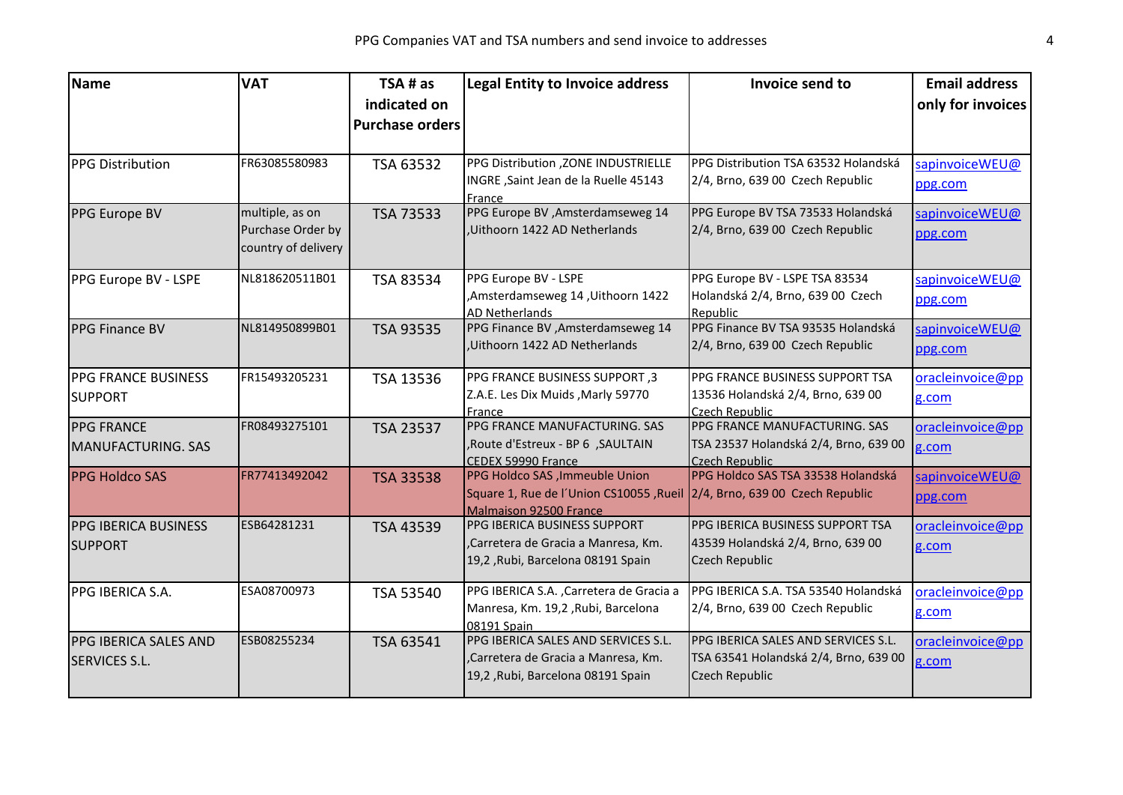| <b>Name</b>                  | <b>VAT</b>          | TSA # as               | <b>Legal Entity to Invoice address</b>                        | Invoice send to                       | <b>Email address</b> |
|------------------------------|---------------------|------------------------|---------------------------------------------------------------|---------------------------------------|----------------------|
|                              |                     | indicated on           |                                                               |                                       | only for invoices    |
|                              |                     | <b>Purchase orders</b> |                                                               |                                       |                      |
|                              |                     |                        |                                                               |                                       |                      |
| <b>PPG Distribution</b>      | FR63085580983       | TSA 63532              | PPG Distribution , ZONE INDUSTRIELLE                          | PPG Distribution TSA 63532 Holandská  | sapinvoiceWEU@       |
|                              |                     |                        | INGRE, Saint Jean de la Ruelle 45143                          | 2/4, Brno, 639 00 Czech Republic      | ppg.com              |
|                              |                     |                        | France                                                        |                                       |                      |
| PPG Europe BV                | multiple, as on     | TSA 73533              | PPG Europe BV , Amsterdamseweg 14                             | PPG Europe BV TSA 73533 Holandská     | sapinvoiceWEU@       |
|                              | Purchase Order by   |                        | Uithoorn 1422 AD Netherlands                                  | 2/4, Brno, 639 00 Czech Republic      | ppg.com              |
|                              | country of delivery |                        |                                                               |                                       |                      |
| PPG Europe BV - LSPE         | NL818620511B01      | TSA 83534              | PPG Europe BV - LSPE                                          | PPG Europe BV - LSPE TSA 83534        | sapinvoiceWEU@       |
|                              |                     |                        | ,Amsterdamseweg 14, Uithoorn 1422                             | Holandská 2/4, Brno, 639 00 Czech     | ppg.com              |
|                              |                     |                        | AD Netherlands                                                | Republic                              |                      |
| <b>PPG Finance BV</b>        | NL814950899B01      | TSA 93535              | PPG Finance BV , Amsterdamseweg 14                            | PPG Finance BV TSA 93535 Holandská    | sapinvoiceWEU@       |
|                              |                     |                        | Uithoorn 1422 AD Netherlands                                  | 2/4, Brno, 639 00 Czech Republic      | ppg.com              |
| <b>PPG FRANCE BUSINESS</b>   | FR15493205231       | TSA 13536              | PPG FRANCE BUSINESS SUPPORT, 3                                | PPG FRANCE BUSINESS SUPPORT TSA       | oracleinvoice@pp     |
| <b>SUPPORT</b>               |                     |                        | Z.A.E. Les Dix Muids, Marly 59770                             | 13536 Holandská 2/4, Brno, 639 00     | g.com                |
|                              |                     |                        | France                                                        | Czech Republic                        |                      |
| <b>PPG FRANCE</b>            | FR08493275101       | TSA 23537              | PPG FRANCE MANUFACTURING. SAS                                 | PPG FRANCE MANUFACTURING. SAS         | oracleinvoice@pp     |
| MANUFACTURING. SAS           |                     |                        | SAULTAIN, Route d'Estreux - BP 6, SAULTAIN                    | TSA 23537 Holandská 2/4, Brno, 639 00 | g.com                |
|                              |                     |                        | CEDEX 59990 France                                            | Czech Republic                        |                      |
| <b>PPG Holdco SAS</b>        | FR77413492042       | <b>TSA 33538</b>       | PPG Holdco SAS , Immeuble Union                               | PPG Holdco SAS TSA 33538 Holandská    | sapinvoiceWEU@       |
|                              |                     |                        | Square 1, Rue de l'Union CS10055, Rueil                       | 2/4, Brno, 639 00 Czech Republic      | ppg.com              |
|                              | ESB64281231         |                        | <b>Malmaison 92500 France</b><br>PPG IBERICA BUSINESS SUPPORT | PPG IBERICA BUSINESS SUPPORT TSA      |                      |
| <b>PPG IBERICA BUSINESS</b>  |                     | TSA 43539              | ,Carretera de Gracia a Manresa, Km.                           | 43539 Holandská 2/4, Brno, 639 00     | oracleinvoice@pp     |
| <b>SUPPORT</b>               |                     |                        | 19,2, Rubi, Barcelona 08191 Spain                             | Czech Republic                        | g.com                |
|                              |                     |                        |                                                               |                                       |                      |
| PPG IBERICA S.A.             | ESA08700973         | TSA 53540              | PPG IBERICA S.A., Carretera de Gracia a                       | PPG IBERICA S.A. TSA 53540 Holandská  | oracleinvoice@pp     |
|                              |                     |                        | Manresa, Km. 19,2, Rubi, Barcelona                            | 2/4, Brno, 639 00 Czech Republic      | g.com                |
|                              |                     |                        | 08191 Spain                                                   |                                       |                      |
| <b>PPG IBERICA SALES AND</b> | ESB08255234         | TSA 63541              | PPG IBERICA SALES AND SERVICES S.L.                           | PPG IBERICA SALES AND SERVICES S.L.   | oracleinvoice@pp     |
| <b>SERVICES S.L.</b>         |                     |                        | Carretera de Gracia a Manresa, Km.                            | TSA 63541 Holandská 2/4, Brno, 639 00 | g.com                |
|                              |                     |                        | 19,2, Rubi, Barcelona 08191 Spain                             | Czech Republic                        |                      |
|                              |                     |                        |                                                               |                                       |                      |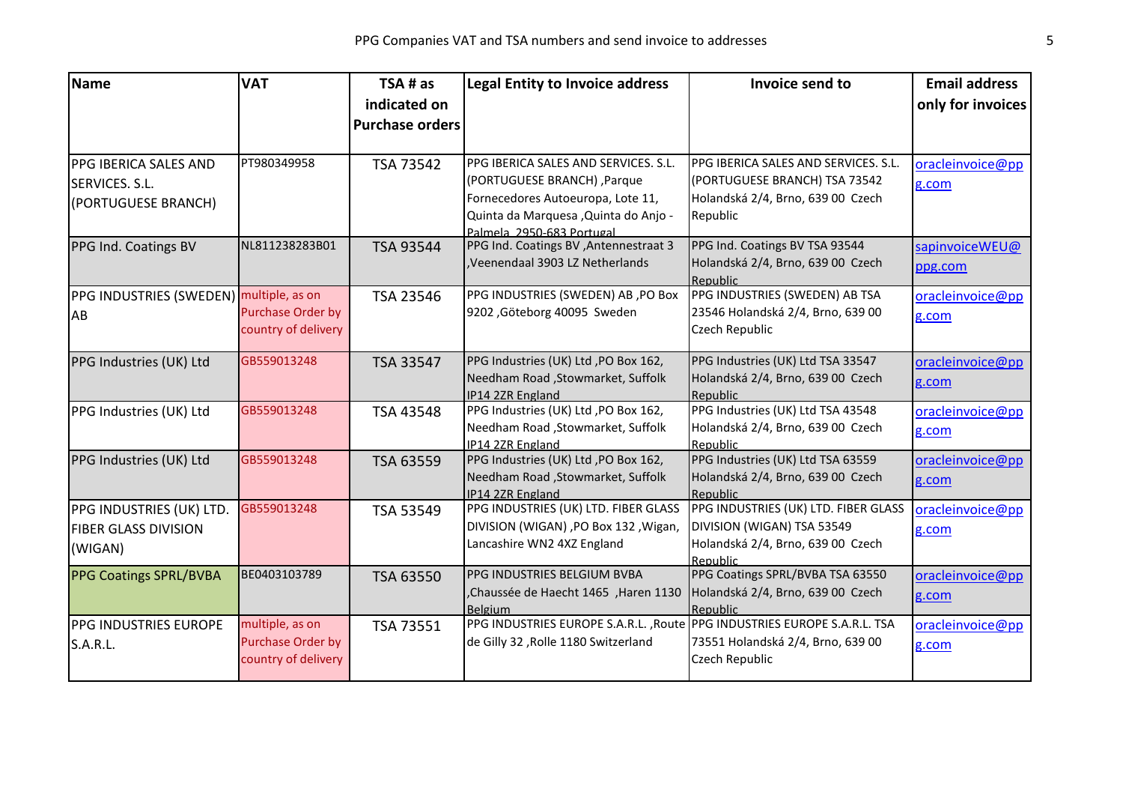| Name                                    | <b>VAT</b>          | TSA # as               | <b>Legal Entity to Invoice address</b>                                   | Invoice send to                               | <b>Email address</b> |
|-----------------------------------------|---------------------|------------------------|--------------------------------------------------------------------------|-----------------------------------------------|----------------------|
|                                         |                     | indicated on           |                                                                          |                                               | only for invoices    |
|                                         |                     | <b>Purchase orders</b> |                                                                          |                                               |                      |
|                                         |                     |                        |                                                                          |                                               |                      |
| <b>PPG IBERICA SALES AND</b>            | PT980349958         | TSA 73542              | PPG IBERICA SALES AND SERVICES. S.L.                                     | PPG IBERICA SALES AND SERVICES. S.L.          | oracleinvoice@pp     |
| SERVICES. S.L.                          |                     |                        | (PORTUGUESE BRANCH), Parque                                              | (PORTUGUESE BRANCH) TSA 73542                 | g.com                |
| (PORTUGUESE BRANCH)                     |                     |                        | Fornecedores Autoeuropa, Lote 11,                                        | Holandská 2/4, Brno, 639 00 Czech             |                      |
|                                         |                     |                        | Quinta da Marquesa , Quinta do Anjo -<br>Palmela 2950-683 Portugal       | Republic                                      |                      |
| PPG Ind. Coatings BV                    | NL811238283B01      | TSA 93544              | PPG Ind. Coatings BV , Antennestraat 3                                   | PPG Ind. Coatings BV TSA 93544                | sapinvoiceWEU@       |
|                                         |                     |                        | ,Veenendaal 3903 LZ Netherlands                                          | Holandská 2/4, Brno, 639 00 Czech             | ppg.com              |
|                                         |                     |                        |                                                                          | Republic                                      |                      |
| PPG INDUSTRIES (SWEDEN) multiple, as on |                     | TSA 23546              | PPG INDUSTRIES (SWEDEN) AB, PO Box                                       | PPG INDUSTRIES (SWEDEN) AB TSA                | oracleinvoice@pp     |
| AB                                      | Purchase Order by   |                        | 9202, Göteborg 40095 Sweden                                              | 23546 Holandská 2/4, Brno, 639 00             | g.com                |
|                                         | country of delivery |                        |                                                                          | Czech Republic                                |                      |
| PPG Industries (UK) Ltd                 | GB559013248         | TSA 33547              | PPG Industries (UK) Ltd , PO Box 162,                                    | PPG Industries (UK) Ltd TSA 33547             | oracleinvoice@pp     |
|                                         |                     |                        | Needham Road , Stowmarket, Suffolk                                       | Holandská 2/4, Brno, 639 00 Czech             | g.com                |
|                                         |                     |                        | IP14 2ZR England                                                         | Republic                                      |                      |
| PPG Industries (UK) Ltd                 | GB559013248         | TSA 43548              | PPG Industries (UK) Ltd , PO Box 162,                                    | PPG Industries (UK) Ltd TSA 43548             | oracleinvoice@pp     |
|                                         |                     |                        | Needham Road , Stowmarket, Suffolk                                       | Holandská 2/4, Brno, 639 00 Czech             | g.com                |
| PPG Industries (UK) Ltd                 | GB559013248         | TSA 63559              | IP14 2ZR England<br>PPG Industries (UK) Ltd , PO Box 162,                | Republic<br>PPG Industries (UK) Ltd TSA 63559 | oracleinvoice@pp     |
|                                         |                     |                        | Needham Road , Stowmarket, Suffolk                                       | Holandská 2/4, Brno, 639 00 Czech             |                      |
|                                         |                     |                        | IP14 2ZR England                                                         | Republic                                      | g.com                |
| PPG INDUSTRIES (UK) LTD.                | GB559013248         | TSA 53549              | PPG INDUSTRIES (UK) LTD. FIBER GLASS                                     | PPG INDUSTRIES (UK) LTD. FIBER GLASS          | oracleinvoice@pp     |
| <b>FIBER GLASS DIVISION</b>             |                     |                        | DIVISION (WIGAN) , PO Box 132 , Wigan,                                   | DIVISION (WIGAN) TSA 53549                    | g.com                |
| (WIGAN)                                 |                     |                        | Lancashire WN2 4XZ England                                               | Holandská 2/4, Brno, 639 00 Czech             |                      |
|                                         |                     |                        |                                                                          | <b>Republic</b>                               |                      |
| <b>PPG Coatings SPRL/BVBA</b>           | BE0403103789        | TSA 63550              | PPG INDUSTRIES BELGIUM BVBA                                              | PPG Coatings SPRL/BVBA TSA 63550              | oracleinvoice@pp     |
|                                         |                     |                        | ,Chaussée de Haecht 1465, Haren 1130<br><b>Belgium</b>                   | Holandská 2/4, Brno, 639 00 Czech<br>Republic | g.com                |
| <b>PPG INDUSTRIES EUROPE</b>            | multiple, as on     | TSA 73551              | PPG INDUSTRIES EUROPE S.A.R.L., Route PPG INDUSTRIES EUROPE S.A.R.L. TSA |                                               | oracleinvoice@pp     |
| S.A.R.L.                                | Purchase Order by   |                        | de Gilly 32, Rolle 1180 Switzerland                                      | 73551 Holandská 2/4, Brno, 639 00             | g.com                |
|                                         | country of delivery |                        |                                                                          | Czech Republic                                |                      |
|                                         |                     |                        |                                                                          |                                               |                      |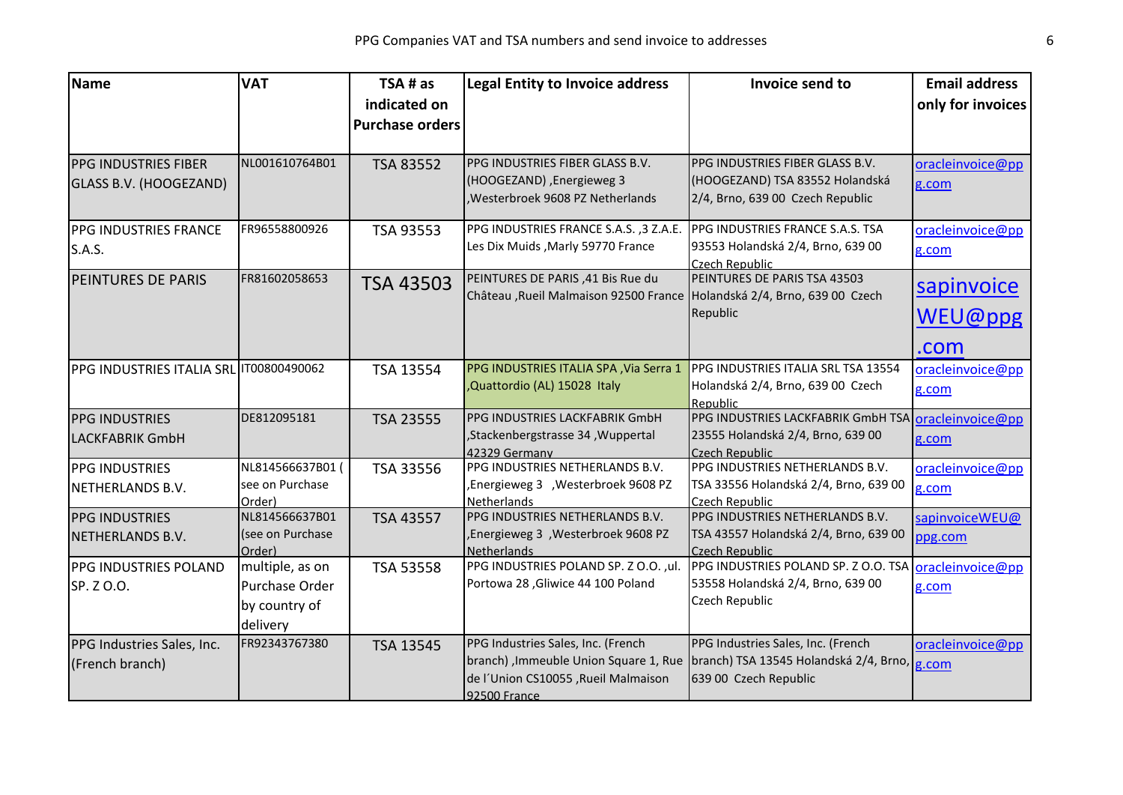| <b>Name</b>                             | <b>VAT</b>       | TSA # as               | <b>Legal Entity to Invoice address</b>                                   | Invoice send to                                     | <b>Email address</b> |
|-----------------------------------------|------------------|------------------------|--------------------------------------------------------------------------|-----------------------------------------------------|----------------------|
|                                         |                  | indicated on           |                                                                          |                                                     | only for invoices    |
|                                         |                  | <b>Purchase orders</b> |                                                                          |                                                     |                      |
|                                         |                  |                        |                                                                          |                                                     |                      |
| <b>PPG INDUSTRIES FIBER</b>             | NL001610764B01   | TSA 83552              | PPG INDUSTRIES FIBER GLASS B.V.                                          | PPG INDUSTRIES FIBER GLASS B.V.                     | oracleinvoice@pp     |
| GLASS B.V. (HOOGEZAND)                  |                  |                        | (HOOGEZAND), Energieweg 3                                                | (HOOGEZAND) TSA 83552 Holandská                     | g.com                |
|                                         |                  |                        | Westerbroek 9608 PZ Netherlands                                          | 2/4, Brno, 639 00 Czech Republic                    |                      |
| <b>PPG INDUSTRIES FRANCE</b>            | FR96558800926    | TSA 93553              | PPG INDUSTRIES FRANCE S.A.S., 3 Z.A.E.                                   | PPG INDUSTRIES FRANCE S.A.S. TSA                    | oracleinvoice@pp     |
| <b>S.A.S.</b>                           |                  |                        | Les Dix Muids, Marly 59770 France                                        | 93553 Holandská 2/4, Brno, 639 00                   | g.com                |
|                                         |                  |                        |                                                                          | Czech Republic                                      |                      |
| <b>PEINTURES DE PARIS</b>               | FR81602058653    | <b>TSA 43503</b>       | PEINTURES DE PARIS, 41 Bis Rue du                                        | PEINTURES DE PARIS TSA 43503                        | sapinvoice           |
|                                         |                  |                        | Château , Rueil Malmaison 92500 France Holandská 2/4, Brno, 639 00 Czech | Republic                                            |                      |
|                                         |                  |                        |                                                                          |                                                     | WEU@ppg              |
|                                         |                  |                        |                                                                          |                                                     | .com                 |
| PPG INDUSTRIES ITALIA SRL IT00800490062 |                  | TSA 13554              | PPG INDUSTRIES ITALIA SPA, Via Serra 1                                   | PPG INDUSTRIES ITALIA SRL TSA 13554                 | oracleinvoice@pp     |
|                                         |                  |                        | ,Quattordio (AL) 15028 Italy                                             | Holandská 2/4, Brno, 639 00 Czech                   | g.com                |
|                                         |                  |                        |                                                                          | Republic                                            |                      |
| <b>PPG INDUSTRIES</b>                   | DE812095181      | TSA 23555              | PPG INDUSTRIES LACKFABRIK GmbH                                           | PPG INDUSTRIES LACKFABRIK GmbH TSA oracleinvoice@pp |                      |
| <b>LACKFABRIK GmbH</b>                  |                  |                        | ,Stackenbergstrasse 34, Wuppertal<br>42329 Germany                       | 23555 Holandská 2/4, Brno, 639 00<br>Czech Republic | g.com                |
| <b>PPG INDUSTRIES</b>                   | NL814566637B01 ( | TSA 33556              | PPG INDUSTRIES NETHERLANDS B.V.                                          | PPG INDUSTRIES NETHERLANDS B.V.                     | oracleinvoice@pp     |
| NETHERLANDS B.V.                        | see on Purchase  |                        | ,Energieweg 3 ,Westerbroek 9608 PZ                                       | TSA 33556 Holandská 2/4, Brno, 639 00               | g.com                |
|                                         | Order)           |                        | <b>Netherlands</b>                                                       | <b>Czech Republic</b>                               |                      |
| <b>PPG INDUSTRIES</b>                   | NL814566637B01   | TSA 43557              | PPG INDUSTRIES NETHERLANDS B.V.                                          | PPG INDUSTRIES NETHERLANDS B.V.                     | sapinvoiceWEU@       |
| NETHERLANDS B.V.                        | (see on Purchase |                        | ,Energieweg 3 ,Westerbroek 9608 PZ                                       | TSA 43557 Holandská 2/4, Brno, 639 00               | ppg.com              |
|                                         | Order)           |                        | Netherlands                                                              | Czech Republic                                      |                      |
| PPG INDUSTRIES POLAND                   | multiple, as on  | TSA 53558              | PPG INDUSTRIES POLAND SP. Z O.O., ul.                                    | PPG INDUSTRIES POLAND SP. Z O.O. TSA                | oracleinvoice@pp     |
| SP. Z O.O.                              | Purchase Order   |                        | Portowa 28, Gliwice 44 100 Poland                                        | 53558 Holandská 2/4, Brno, 639 00                   | g.com                |
|                                         | by country of    |                        |                                                                          | Czech Republic                                      |                      |
|                                         | delivery         |                        |                                                                          |                                                     |                      |
| PPG Industries Sales, Inc.              | FR92343767380    | TSA 13545              | PPG Industries Sales, Inc. (French                                       | PPG Industries Sales, Inc. (French                  | oracleinvoice@pp     |
| (French branch)                         |                  |                        | branch), Immeuble Union Square 1, Rue                                    | branch) TSA 13545 Holandská 2/4, Brno, g.com        |                      |
|                                         |                  |                        | de l'Union CS10055, Rueil Malmaison                                      | 639 00 Czech Republic                               |                      |
|                                         |                  |                        | 92500 France                                                             |                                                     |                      |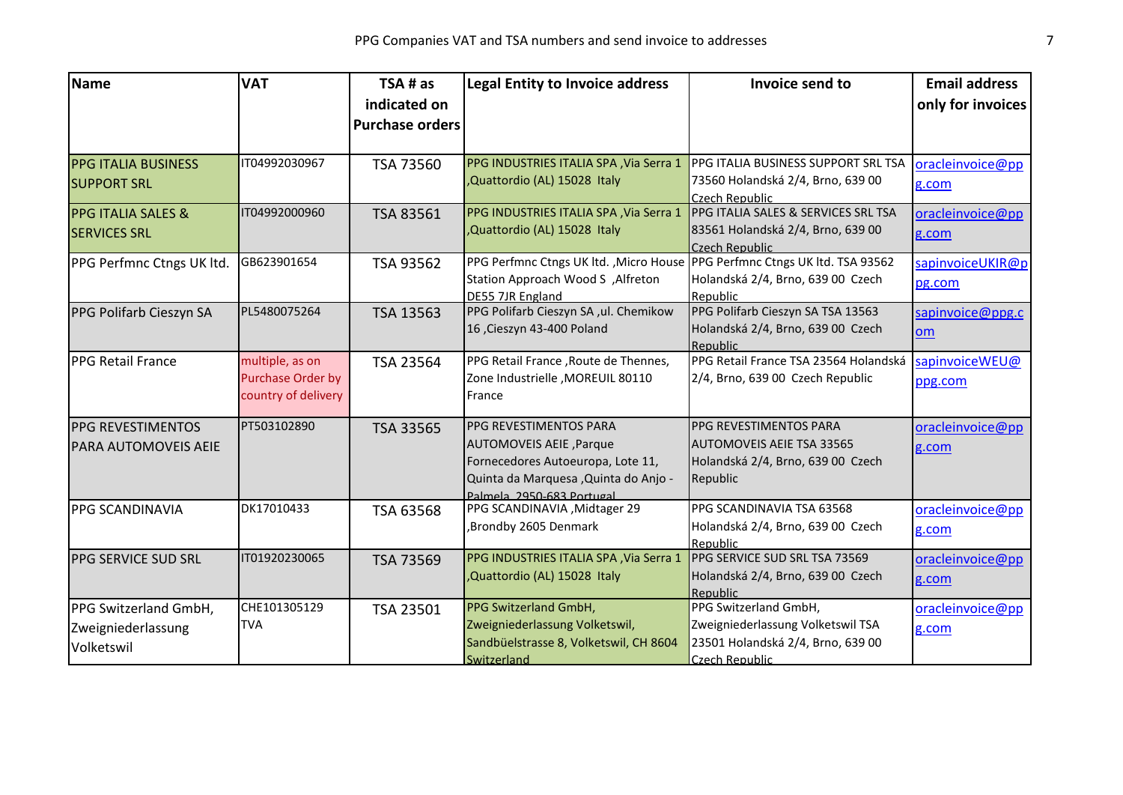| Name                          | <b>VAT</b>          | TSA # as               | Legal Entity to Invoice address                                            | Invoice send to                                            | <b>Email address</b> |
|-------------------------------|---------------------|------------------------|----------------------------------------------------------------------------|------------------------------------------------------------|----------------------|
|                               |                     | indicated on           |                                                                            |                                                            | only for invoices    |
|                               |                     | <b>Purchase orders</b> |                                                                            |                                                            |                      |
|                               |                     |                        |                                                                            |                                                            |                      |
| <b>PPG ITALIA BUSINESS</b>    | IT04992030967       | TSA 73560              | PPG INDUSTRIES ITALIA SPA, Via Serra 1                                     | PPG ITALIA BUSINESS SUPPORT SRL TSA                        | oracleinvoice@pp     |
| <b>SUPPORT SRL</b>            |                     |                        | ,Quattordio (AL) 15028 Italy                                               | 73560 Holandská 2/4, Brno, 639 00<br>Czech Republic        | g.com                |
| <b>PPG ITALIA SALES &amp;</b> | IT04992000960       | TSA 83561              | PPG INDUSTRIES ITALIA SPA, Via Serra 1                                     | PPG ITALIA SALES & SERVICES SRL TSA                        | oracleinvoice@pp     |
| <b>SERVICES SRL</b>           |                     |                        | ,Quattordio (AL) 15028 Italy                                               | 83561 Holandská 2/4, Brno, 639 00<br><b>Czech Republic</b> | g.com                |
| PPG Perfmnc Ctngs UK ltd.     | GB623901654         | TSA 93562              | PPG Perfmnc Ctngs UK ltd., Micro House PPG Perfmnc Ctngs UK ltd. TSA 93562 |                                                            | sapinvoiceUKIR@p     |
|                               |                     |                        | Station Approach Wood S, Alfreton<br>DE55 7JR England                      | Holandská 2/4, Brno, 639 00 Czech<br>Republic              | pg.com               |
| PPG Polifarb Cieszyn SA       | PL5480075264        | TSA 13563              | PPG Polifarb Cieszyn SA ,ul. Chemikow                                      | PPG Polifarb Cieszyn SA TSA 13563                          | sapinvoice@ppg.c     |
|                               |                     |                        | 16 ,Cieszyn 43-400 Poland                                                  | Holandská 2/4, Brno, 639 00 Czech<br>Republic              | <b>om</b>            |
| <b>PPG Retail France</b>      | multiple, as on     | TSA 23564              | PPG Retail France, Route de Thennes,                                       | PPG Retail France TSA 23564 Holandská                      | sapinvoiceWEU@       |
|                               | Purchase Order by   |                        | Zone Industrielle , MOREUIL 80110                                          | 2/4, Brno, 639 00 Czech Republic                           | ppg.com              |
|                               | country of delivery |                        | France                                                                     |                                                            |                      |
| <b>PPG REVESTIMENTOS</b>      | PT503102890         | TSA 33565              | <b>PPG REVESTIMENTOS PARA</b>                                              | PPG REVESTIMENTOS PARA                                     | oracleinvoice@pp     |
| <b>PARA AUTOMOVEIS AEIE</b>   |                     |                        | AUTOMOVEIS AEIE, Parque                                                    | <b>AUTOMOVEIS AEIE TSA 33565</b>                           | g.com                |
|                               |                     |                        | Fornecedores Autoeuropa, Lote 11,                                          | Holandská 2/4, Brno, 639 00 Czech                          |                      |
|                               |                     |                        | Quinta da Marquesa , Quinta do Anjo -<br>Palmela 2950-683 Portugal         | Republic                                                   |                      |
| <b>PPG SCANDINAVIA</b>        | DK17010433          | TSA 63568              | PPG SCANDINAVIA , Midtager 29                                              | PPG SCANDINAVIA TSA 63568                                  | oracleinvoice@pp     |
|                               |                     |                        | ,Brondby 2605 Denmark                                                      | Holandská 2/4, Brno, 639 00 Czech                          | g.com                |
|                               |                     |                        |                                                                            | Republic                                                   |                      |
| <b>PPG SERVICE SUD SRL</b>    | IT01920230065       | TSA 73569              | PPG INDUSTRIES ITALIA SPA, Via Serra 1                                     | PPG SERVICE SUD SRL TSA 73569                              | oracleinvoice@pp     |
|                               |                     |                        | ,Quattordio (AL) 15028 Italy                                               | Holandská 2/4, Brno, 639 00 Czech<br>Republic              | g.com                |
| PPG Switzerland GmbH,         | CHE101305129        | TSA 23501              | PPG Switzerland GmbH,                                                      | PPG Switzerland GmbH,                                      | oracleinvoice@pp     |
| Zweigniederlassung            | <b>TVA</b>          |                        | Zweigniederlassung Volketswil,                                             | Zweigniederlassung Volketswil TSA                          | g.com                |
| Volketswil                    |                     |                        | Sandbüelstrasse 8, Volketswil, CH 8604                                     | 23501 Holandská 2/4, Brno, 639 00                          |                      |
|                               |                     |                        | Switzerland                                                                | Czech Republic                                             |                      |